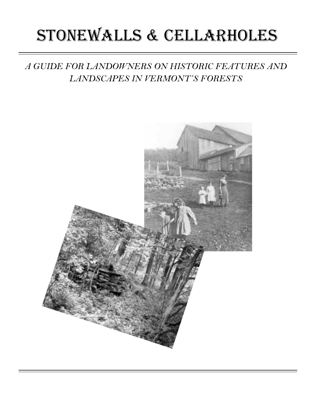# stonewalls & cellarholes

*A GUIDE FOR LANDOWNERS ON HISTORIC FEATURES AND LANDSCAPES IN VERMONT'S FORESTS*

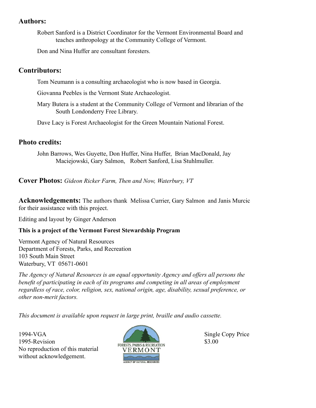#### **Authors:**

Robert Sanford is a District Coordinator for the Vermont Environmental Board and teaches anthropology at the Community College of Vermont.

Don and Nina Huffer are consultant foresters.

#### **Contributors:**

Tom Neumann is a consulting archaeologist who is now based in Georgia.

Giovanna Peebles is the Vermont State Archaeologist.

Mary Butera is a student at the Community College of Vermont and librarian of the South Londonderry Free Library.

Dave Lacy is Forest Archaeologist for the Green Mountain National Forest.

#### **Photo credits:**

John Barrows, Wes Guyette, Don Huffer, Nina Huffer, Brian MacDonald, Jay Maciejowski, Gary Salmon, Robert Sanford, Lisa Stuhlmuller.

**Cover Photos:** *Gideon Ricker Farm, Then and Now, Waterbury, VT* 

**Acknowledgements:** The authors thank Melissa Currier, Gary Salmon and Janis Murcic for their assistance with this project.

Editing and layout by Ginger Anderson

#### **This is a project of the Vermont Forest Stewardship Program**

Vermont Agency of Natural Resources Department of Forests, Parks, and Recreation 103 South Main Street Waterbury, VT 05671-0601

*The Agency of Natural Resources is an equal opportunity Agency and offers all persons the benefit of participating in each of its programs and competing in all areas of employment regardless of race, color, religion, sex, national origin, age, disability, sexual preference, or other non-merit factors.*

*This document is available upon request in large print, braille and audio cassette.* 

1994-VGA Single Copy Price 1995-Revision 
S3.00

S3.00

S3.00

S3.00

S3.00

S3.00

S3.00

S3.00

S3.00

S3.00

S3.00

S3.00

S3.00

S3.00

S3.00

S3.00

S3.00

S3.00

S3.00

S3.00

S3.00

S3.00

S3.00

S3.00

S3.00

S3.00

S3.00

S3.00

S3.00

S3.0 No reproduction of this material without acknowledgement.

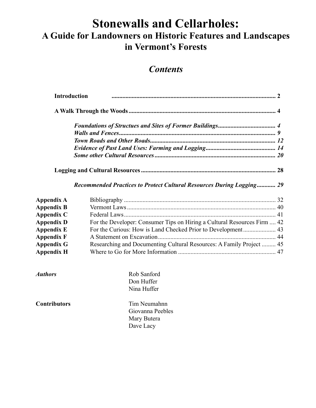## **Stonewalls and Cellarholes: A Guide for Landowners on Historic Features and Landscapes in Vermont's Forests**

### *Contents*

| <b>Introduction</b> |                                                                          |  |
|---------------------|--------------------------------------------------------------------------|--|
|                     |                                                                          |  |
|                     |                                                                          |  |
|                     |                                                                          |  |
|                     |                                                                          |  |
|                     |                                                                          |  |
|                     |                                                                          |  |
|                     |                                                                          |  |
|                     | Recommended Practices to Protect Cultural Resources During Logging 29    |  |
| Appendix A          |                                                                          |  |
| <b>Appendix B</b>   |                                                                          |  |
| Appendix C          |                                                                          |  |
| <b>Appendix D</b>   | For the Developer: Consumer Tips on Hiring a Cultural Resources Firm  42 |  |
| <b>Appendix E</b>   |                                                                          |  |
| <b>Appendix F</b>   |                                                                          |  |
| <b>Appendix G</b>   | Researching and Documenting Cultural Resources: A Family Project  45     |  |
| <b>Appendix H</b>   |                                                                          |  |
| <b>Authors</b>      | Rob Sanford                                                              |  |
|                     | Don Huffer                                                               |  |
|                     | Nina Huffer                                                              |  |
| <b>Contributors</b> | Tim Neumahnn                                                             |  |
|                     | Giovanna Peebles                                                         |  |
|                     | Mary Butera                                                              |  |
|                     | Dave Lacy                                                                |  |
|                     |                                                                          |  |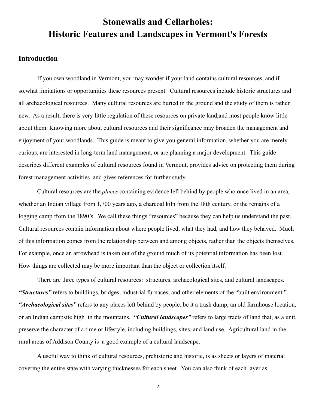### **Stonewalls and Cellarholes: Historic Features and Landscapes in Vermont's Forests**

#### **Introduction**

 If you own woodland in Vermont, you may wonder if your land contains cultural resources, and if so,what limitations or opportunities these resources present. Cultural resources include historic structures and all archaeological resources. Many cultural resources are buried in the ground and the study of them is rather new. As a result, there is very little regulation of these resources on private land,and most people know little about them. Knowing more about cultural resources and their significance may broaden the management and enjoyment of your woodlands. This guide is meant to give you general information, whether you are merely curious, are interested in long-term land management, or are planning a major development. This guide describes different examples of cultural resources found in Vermont, provides advice on protecting them during forest management activities and gives references for further study.

 Cultural resources are the *places* containing evidence left behind by people who once lived in an area, whether an Indian village from 1,700 years ago, a charcoal kiln from the 18th century, or the remains of a logging camp from the 1890's. We call these things "resources" because they can help us understand the past. Cultural resources contain information about where people lived, what they had, and how they behaved. Much of this information comes from the relationship between and among objects, rather than the objects themselves. For example, once an arrowhead is taken out of the ground much of its potential information has been lost. How things are collected may be more important than the object or collection itself.

 There are three types of cultural resources: structures, archaeological sites, and cultural landscapes. *"Structures"* refers to buildings, bridges, industrial furnaces, and other elements of the "built environment." *"Archaeological sites"* refers to any places left behind by people, be it a trash dump, an old farmhouse location, or an Indian campsite high in the mountains. *"Cultural landscapes"* refers to large tracts of land that, as a unit, preserve the character of a time or lifestyle, including buildings, sites, and land use. Agricultural land in the rural areas of Addison County is a good example of a cultural landscape.

 A useful way to think of cultural resources, prehistoric and historic, is as sheets or layers of material covering the entire state with varying thicknesses for each sheet. You can also think of each layer as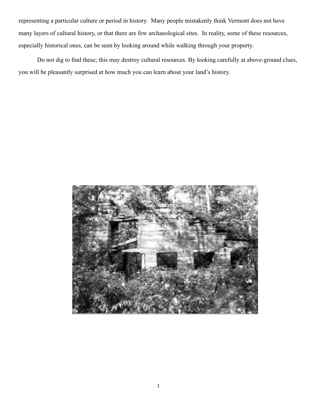representing a particular culture or period in history. Many people mistakenly think Vermont does not have many layers of cultural history, or that there are few archaeological sites. In reality, some of these resources, especially historical ones, can be seen by looking around while walking through your property.

 Do not dig to find these; this may destroy cultural resources. By looking carefully at above-ground clues, you will be pleasantly surprised at how much you can learn about your land's history.

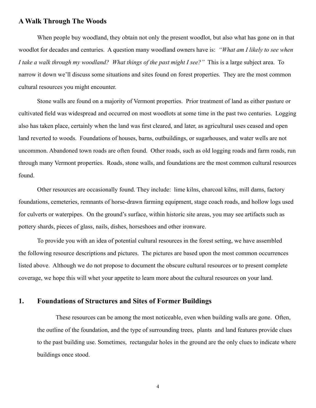#### **A Walk Through The Woods**

 When people buy woodland, they obtain not only the present woodlot, but also what has gone on in that woodlot for decades and centuries. A question many woodland owners have is: *"What am I likely to see when I take a walk through my woodland? What things of the past might I see?"* This is a large subject area. To narrow it down we'll discuss some situations and sites found on forest properties. They are the most common cultural resources you might encounter.

 Stone walls are found on a majority of Vermont properties. Prior treatment of land as either pasture or cultivated field was widespread and occurred on most woodlots at some time in the past two centuries. Logging also has taken place, certainly when the land was first cleared, and later, as agricultural uses ceased and open land reverted to woods. Foundations of houses, barns, outbuildings, or sugarhouses, and water wells are not uncommon. Abandoned town roads are often found. Other roads, such as old logging roads and farm roads, run through many Vermont properties. Roads, stone walls, and foundations are the most common cultural resources found.

 Other resources are occasionally found. They include: lime kilns, charcoal kilns, mill dams, factory foundations, cemeteries, remnants of horse-drawn farming equipment, stage coach roads, and hollow logs used for culverts or waterpipes. On the ground's surface, within historic site areas, you may see artifacts such as pottery shards, pieces of glass, nails, dishes, horseshoes and other ironware.

 To provide you with an idea of potential cultural resources in the forest setting, we have assembled the following resource descriptions and pictures. The pictures are based upon the most common occurrences listed above. Although we do not propose to document the obscure cultural resources or to present complete coverage, we hope this will whet your appetite to learn more about the cultural resources on your land.

#### **1. Foundations of Structures and Sites of Former Buildings**

 These resources can be among the most noticeable, even when building walls are gone. Often, the outline of the foundation, and the type of surrounding trees, plants and land features provide clues to the past building use. Sometimes, rectangular holes in the ground are the only clues to indicate where buildings once stood.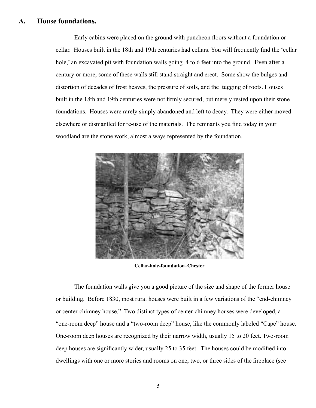#### **A. House foundations.**

 Early cabins were placed on the ground with puncheon floors without a foundation or cellar. Houses built in the 18th and 19th centuries had cellars. You will frequently find the 'cellar hole,' an excavated pit with foundation walls going 4 to 6 feet into the ground. Even after a century or more, some of these walls still stand straight and erect. Some show the bulges and distortion of decades of frost heaves, the pressure of soils, and the tugging of roots. Houses built in the 18th and 19th centuries were not firmly secured, but merely rested upon their stone foundations. Houses were rarely simply abandoned and left to decay. They were either moved elsewhere or dismantled for re-use of the materials. The remnants you find today in your woodland are the stone work, almost always represented by the foundation.



**Cellar-hole-foundation–Chester**

 The foundation walls give you a good picture of the size and shape of the former house or building. Before 1830, most rural houses were built in a few variations of the "end-chimney or center-chimney house." Two distinct types of center-chimney houses were developed, a "one-room deep" house and a "two-room deep" house, like the commonly labeled "Cape" house. One-room deep houses are recognized by their narrow width, usually 15 to 20 feet. Two-room deep houses are significantly wider, usually 25 to 35 feet. The houses could be modified into dwellings with one or more stories and rooms on one, two, or three sides of the fireplace (see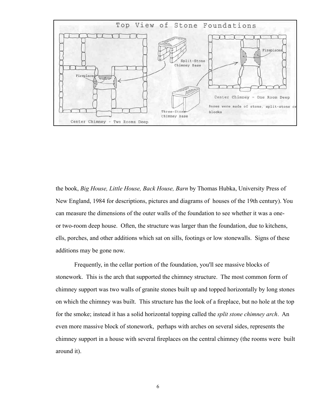

the book, *Big House, Little House, Back House, Barn* by Thomas Hubka, University Press of New England, 1984 for descriptions, pictures and diagrams of houses of the 19th century). You can measure the dimensions of the outer walls of the foundation to see whether it was a oneor two-room deep house. Often, the structure was larger than the foundation, due to kitchens, ells, porches, and other additions which sat on sills, footings or low stonewalls. Signs of these additions may be gone now.

 Frequently, in the cellar portion of the foundation, you'll see massive blocks of stonework. This is the arch that supported the chimney structure. The most common form of chimney support was two walls of granite stones built up and topped horizontally by long stones on which the chimney was built. This structure has the look of a fireplace, but no hole at the top for the smoke; instead it has a solid horizontal topping called the *split stone chimney arch*. An even more massive block of stonework, perhaps with arches on several sides, represents the chimney support in a house with several fireplaces on the central chimney (the rooms were built around it).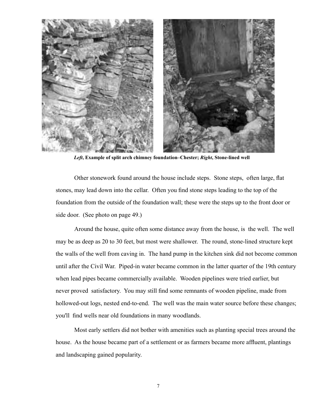

*Left***, Example of split arch chimney foundation–Chester;** *Right***, Stone-lined well**

 Other stonework found around the house include steps. Stone steps, often large, flat stones, may lead down into the cellar. Often you find stone steps leading to the top of the foundation from the outside of the foundation wall; these were the steps up to the front door or side door. (See photo on page 49.)

 Around the house, quite often some distance away from the house, is the well. The well may be as deep as 20 to 30 feet, but most were shallower. The round, stone-lined structure kept the walls of the well from caving in. The hand pump in the kitchen sink did not become common until after the Civil War. Piped-in water became common in the latter quarter of the 19th century when lead pipes became commercially available. Wooden pipelines were tried earlier, but never proved satisfactory. You may still find some remnants of wooden pipeline, made from hollowed-out logs, nested end-to-end. The well was the main water source before these changes; you'll find wells near old foundations in many woodlands.

 Most early settlers did not bother with amenities such as planting special trees around the house. As the house became part of a settlement or as farmers became more affluent, plantings and landscaping gained popularity.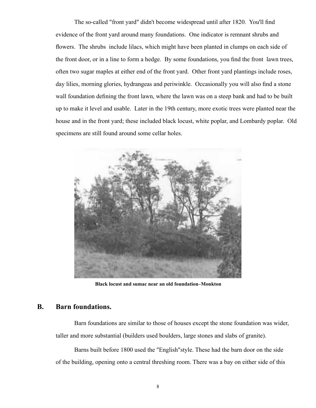The so-called "front yard" didn't become widespread until after 1820. You'll find evidence of the front yard around many foundations. One indicator is remnant shrubs and flowers. The shrubs include lilacs, which might have been planted in clumps on each side of the front door, or in a line to form a hedge. By some foundations, you find the front lawn trees, often two sugar maples at either end of the front yard. Other front yard plantings include roses, day lilies, morning glories, hydrangeas and periwinkle. Occasionally you will also find a stone wall foundation defining the front lawn, where the lawn was on a steep bank and had to be built up to make it level and usable. Later in the 19th century, more exotic trees were planted near the house and in the front yard; these included black locust, white poplar, and Lombardy poplar. Old specimens are still found around some cellar holes.



**Black locust and sumac near an old foundation–Monkton**

#### **B. Barn foundations.**

 Barn foundations are similar to those of houses except the stone foundation was wider, taller and more substantial (builders used boulders, large stones and slabs of granite).

 Barns built before 1800 used the "English"style. These had the barn door on the side of the building, opening onto a central threshing room. There was a bay on either side of this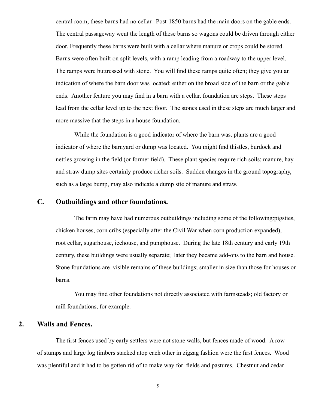central room; these barns had no cellar. Post-1850 barns had the main doors on the gable ends. The central passageway went the length of these barns so wagons could be driven through either door. Frequently these barns were built with a cellar where manure or crops could be stored. Barns were often built on split levels, with a ramp leading from a roadway to the upper level. The ramps were buttressed with stone. You will find these ramps quite often; they give you an indication of where the barn door was located; either on the broad side of the barn or the gable ends. Another feature you may find in a barn with a cellar. foundation are steps. These steps lead from the cellar level up to the next floor. The stones used in these steps are much larger and more massive that the steps in a house foundation.

 While the foundation is a good indicator of where the barn was, plants are a good indicator of where the barnyard or dump was located. You might find thistles, burdock and nettles growing in the field (or former field). These plant species require rich soils; manure, hay and straw dump sites certainly produce richer soils. Sudden changes in the ground topography, such as a large bump, may also indicate a dump site of manure and straw.

#### **C. Outbuildings and other foundations.**

 The farm may have had numerous outbuildings including some of the following:pigsties, chicken houses, corn cribs (especially after the Civil War when corn production expanded), root cellar, sugarhouse, icehouse, and pumphouse. During the late 18th century and early 19th century, these buildings were usually separate; later they became add-ons to the barn and house. Stone foundations are visible remains of these buildings; smaller in size than those for houses or barns.

 You may find other foundations not directly associated with farmsteads; old factory or mill foundations, for example.

#### **2. Walls and Fences.**

 The first fences used by early settlers were not stone walls, but fences made of wood. A row of stumps and large log timbers stacked atop each other in zigzag fashion were the first fences. Wood was plentiful and it had to be gotten rid of to make way for fields and pastures. Chestnut and cedar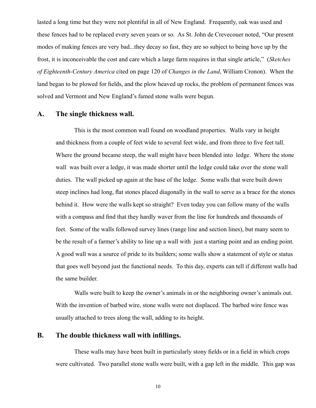lasted a long time but they were not plentiful in all of New England. Frequently, oak was used and these fences had to be replaced every seven years or so. As St. John de Crevecouer noted, "Our present modes of making fences are very bad...they decay so fast, they are so subject to being hove up by the frost, it is inconceivable the cost and care which a large farm requires in that single article," (*Sketches of Eighteenth-Century America* cited on page 120 of *Changes in the Land*, William Cronon). When the land began to be plowed for fields, and the plow heaved up rocks, the problem of permanent fences was solved and Vermont and New England's famed stone walls were begun.

#### **A. The single thickness wall.**

 This is the most common wall found on woodland properties. Walls vary in height and thickness from a couple of feet wide to several feet wide, and from three to five feet tall. Where the ground became steep, the wall might have been blended into ledge. Where the stone wall was built over a ledge, it was made shorter until the ledge could take over the stone wall duties. The wall picked up again at the base of the ledge. Some walls that were built down steep inclines had long, flat stones placed diagonally in the wall to serve as a brace for the stones behind it. How were the walls kept so straight? Even today you can follow many of the walls with a compass and find that they hardly waver from the line for hundreds and thousands of feet. Some of the walls followed survey lines (range line and section lines), but many seem to be the result of a farmer's ability to line up a wall with just a starting point and an ending point. A good wall was a source of pride to its builders; some walls show a statement of style or status that goes well beyond just the functional needs. To this day, experts can tell if different walls had the same builder.

 Walls were built to keep the owner's animals in or the neighboring owner's animals out. With the invention of barbed wire, stone walls were not displaced. The barbed wire fence was usually attached to trees along the wall, adding to its height.

#### **B. The double thickness wall with infillings.**

 These walls may have been built in particularly stony fields or in a field in which crops were cultivated. Two parallel stone walls were built, with a gap left in the middle. This gap was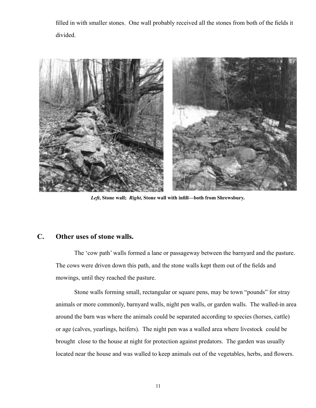filled in with smaller stones. One wall probably received all the stones from both of the fields it divided.



*Left***, Stone wall;** *Right,* **Stone wall with infill—both from Shrewsbury.**

#### **C. Other uses of stone walls.**

 The 'cow path' walls formed a lane or passageway between the barnyard and the pasture. The cows were driven down this path, and the stone walls kept them out of the fields and mowings, until they reached the pasture.

 Stone walls forming small, rectangular or square pens, may be town "pounds" for stray animals or more commonly, barnyard walls, night pen walls, or garden walls. The walled-in area around the barn was where the animals could be separated according to species (horses, cattle) or age (calves, yearlings, heifers). The night pen was a walled area where livestock could be brought close to the house at night for protection against predators. The garden was usually located near the house and was walled to keep animals out of the vegetables, herbs, and flowers.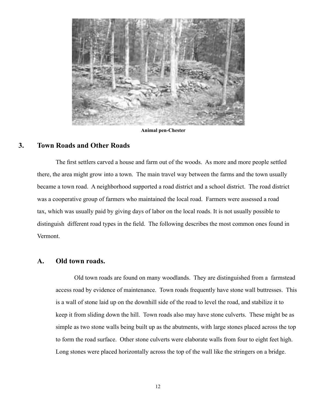

 **Animal pen-Chester**

#### **3. Town Roads and Other Roads**

 The first settlers carved a house and farm out of the woods. As more and more people settled there, the area might grow into a town. The main travel way between the farms and the town usually became a town road. A neighborhood supported a road district and a school district. The road district was a cooperative group of farmers who maintained the local road. Farmers were assessed a road tax, which was usually paid by giving days of labor on the local roads. It is not usually possible to distinguish different road types in the field. The following describes the most common ones found in Vermont.

#### **A. Old town roads.**

 Old town roads are found on many woodlands. They are distinguished from a farmstead access road by evidence of maintenance. Town roads frequently have stone wall buttresses. This is a wall of stone laid up on the downhill side of the road to level the road, and stabilize it to keep it from sliding down the hill. Town roads also may have stone culverts. These might be as simple as two stone walls being built up as the abutments, with large stones placed across the top to form the road surface. Other stone culverts were elaborate walls from four to eight feet high. Long stones were placed horizontally across the top of the wall like the stringers on a bridge.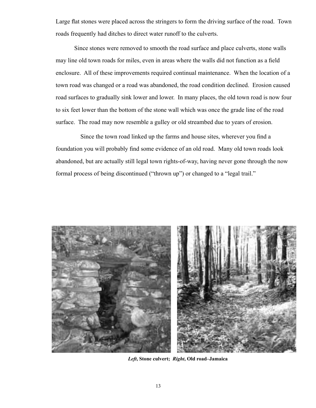Large flat stones were placed across the stringers to form the driving surface of the road. Town roads frequently had ditches to direct water runoff to the culverts.

 Since stones were removed to smooth the road surface and place culverts, stone walls may line old town roads for miles, even in areas where the walls did not function as a field enclosure. All of these improvements required continual maintenance. When the location of a town road was changed or a road was abandoned, the road condition declined. Erosion caused road surfaces to gradually sink lower and lower. In many places, the old town road is now four to six feet lower than the bottom of the stone wall which was once the grade line of the road surface. The road may now resemble a gulley or old streambed due to years of erosion.

 Since the town road linked up the farms and house sites, wherever you find a foundation you will probably find some evidence of an old road. Many old town roads look abandoned, but are actually still legal town rights-of-way, having never gone through the now formal process of being discontinued ("thrown up") or changed to a "legal trail."



*Left***, Stone culvert;** *Right***, Old road–Jamaica**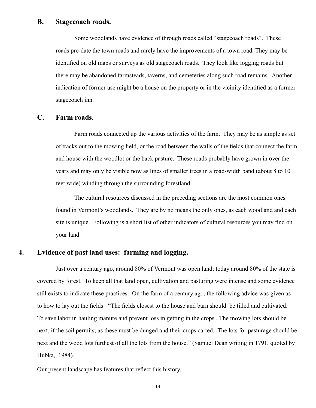#### **B. Stagecoach roads.**

 Some woodlands have evidence of through roads called "stagecoach roads". These roads pre-date the town roads and rarely have the improvements of a town road. They may be identified on old maps or surveys as old stagecoach roads. They look like logging roads but there may be abandoned farmsteads, taverns, and cemeteries along such road remains. Another indication of former use might be a house on the property or in the vicinity identified as a former stagecoach inn.

#### **C. Farm roads.**

 Farm roads connected up the various activities of the farm. They may be as simple as set of tracks out to the mowing field, or the road between the walls of the fields that connect the farm and house with the woodlot or the back pasture. These roads probably have grown in over the years and may only be visible now as lines of smaller trees in a road-width band (about 8 to 10 feet wide) winding through the surrounding forestland.

 The cultural resources discussed in the preceding sections are the most common ones found in Vermont's woodlands. They are by no means the only ones, as each woodland and each site is unique. Following is a short list of other indicators of cultural resources you may find on your land.

#### **4. Evidence of past land uses: farming and logging.**

 Just over a century ago, around 80% of Vermont was open land; today around 80% of the state is covered by forest. To keep all that land open, cultivation and pasturing were intense and some evidence still exists to indicate these practices. On the farm of a century ago, the following advice was given as to how to lay out the fields: "The fields closest to the house and barn should be tilled and cultivated. To save labor in hauling manure and prevent loss in getting in the crops...The mowing lots should be next, if the soil permits; as these must be dunged and their crops carted. The lots for pasturage should be next and the wood lots furthest of all the lots from the house." (Samuel Dean writing in 1791, quoted by Hubka, 1984).

Our present landscape has features that reflect this history.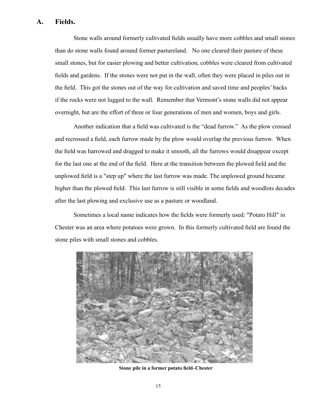#### **A. Fields.**

 Stone walls around formerly cultivated fields usually have more cobbles and small stones than do stone walls found around former pastureland. No one cleared their pasture of these small stones, but for easier plowing and better cultivation, cobbles were cleared from cultivated fields and gardens. If the stones were not put in the wall, often they were placed in piles out in the field. This got the stones out of the way for cultivation and saved time and peoples' backs if the rocks were not lugged to the wall. Remember that Vermont's stone walls did not appear overnight, but are the effort of three or four generations of men and women, boys and girls.

 Another indication that a field was cultivated is the "dead furrow." As the plow crossed and recrossed a field, each furrow made by the plow would overlap the previous furrow. When the field was harrowed and dragged to make it smooth, all the furrows would disappear except for the last one at the end of the field. Here at the transition between the plowed field and the unplowed field is a "step up" where the last furrow was made. The unplowed ground became higher than the plowed field. This last furrow is still visible in some fields and woodlots decades after the last plowing and exclusive use as a pasture or woodland.

 Sometimes a local name indicates how the fields were formerly used: "Potato Hill" in Chester was an area where potatoes were grown. In this formerly cultivated field are found the stone piles with small stones and cobbles.



 **Stone pile in a former potato field–Chester**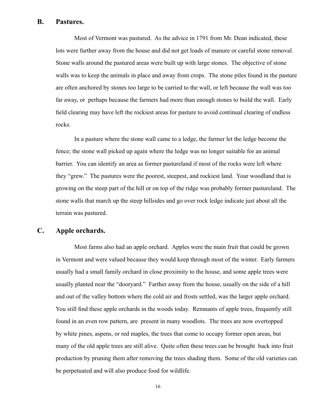#### **B. Pastures.**

 Most of Vermont was pastured. As the advice in 1791 from Mr. Dean indicated, these lots were further away from the house and did not get loads of manure or careful stone removal. Stone walls around the pastured areas were built up with large stones. The objective of stone walls was to keep the animals in place and away from crops. The stone piles found in the pasture are often anchored by stones too large to be carried to the wall, or left because the wall was too far away, or perhaps because the farmers had more than enough stones to build the wall. Early field clearing may have left the rockiest areas for pasture to avoid continual clearing of endless rocks.

 In a pasture where the stone wall came to a ledge, the farmer let the ledge become the fence; the stone wall picked up again where the ledge was no longer suitable for an animal barrier. You can identify an area as former pastureland if most of the rocks were left where they "grew." The pastures were the poorest, steepest, and rockiest land. Your woodland that is growing on the steep part of the hill or on top of the ridge was probably former pastureland. The stone walls that march up the steep hillsides and go over rock ledge indicate just about all the terrain was pastured.

#### **C. Apple orchards.**

 Most farms also had an apple orchard. Apples were the main fruit that could be grown in Vermont and were valued because they would keep through most of the winter. Early farmers usually had a small family orchard in close proximity to the house, and some apple trees were usually planted near the "dooryard." Farther away from the house, usually on the side of a hill and out of the valley bottom where the cold air and frosts settled, was the larger apple orchard. You still find these apple orchards in the woods today. Remnants of apple trees, frequently still found in an even row pattern, are present in many woodlots. The trees are now overtopped by white pines, aspens, or red maples, the trees that come to occupy former open areas, but many of the old apple trees are still alive. Quite often these trees can be brought back into fruit production by pruning them after removing the trees shading them. Some of the old varieties can be perpetuated and will also produce food for wildlife.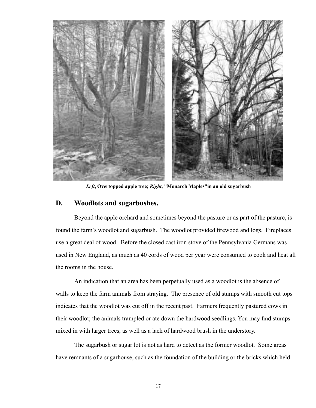

*Left***, Overtopped apple tree;** *Right***, "Monarch Maples"in an old sugarbush**

#### **D. Woodlots and sugarbushes.**

 Beyond the apple orchard and sometimes beyond the pasture or as part of the pasture, is found the farm's woodlot and sugarbush. The woodlot provided firewood and logs. Fireplaces use a great deal of wood. Before the closed cast iron stove of the Pennsylvania Germans was used in New England, as much as 40 cords of wood per year were consumed to cook and heat all the rooms in the house.

 An indication that an area has been perpetually used as a woodlot is the absence of walls to keep the farm animals from straying. The presence of old stumps with smooth cut tops indicates that the woodlot was cut off in the recent past. Farmers frequently pastured cows in their woodlot; the animals trampled or ate down the hardwood seedlings. You may find stumps mixed in with larger trees, as well as a lack of hardwood brush in the understory.

 The sugarbush or sugar lot is not as hard to detect as the former woodlot. Some areas have remnants of a sugarhouse, such as the foundation of the building or the bricks which held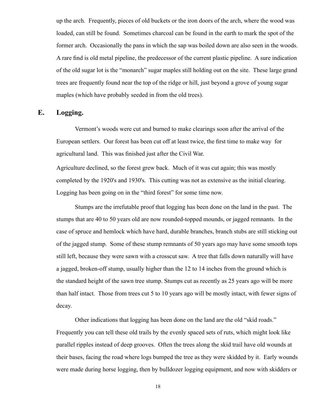up the arch. Frequently, pieces of old buckets or the iron doors of the arch, where the wood was loaded, can still be found. Sometimes charcoal can be found in the earth to mark the spot of the former arch. Occasionally the pans in which the sap was boiled down are also seen in the woods. A rare find is old metal pipeline, the predecessor of the current plastic pipeline. A sure indication of the old sugar lot is the "monarch" sugar maples still holding out on the site. These large grand trees are frequently found near the top of the ridge or hill, just beyond a grove of young sugar maples (which have probably seeded in from the old trees).

#### **E. Logging.**

 Vermont's woods were cut and burned to make clearings soon after the arrival of the European settlers. Our forest has been cut off at least twice, the first time to make way for agricultural land. This was finished just after the Civil War.

Agriculture declined, so the forest grew back. Much of it was cut again; this was mostly completed by the 1920's and 1930's. This cutting was not as extensive as the initial clearing. Logging has been going on in the "third forest" for some time now.

 Stumps are the irrefutable proof that logging has been done on the land in the past. The stumps that are 40 to 50 years old are now rounded-topped mounds, or jagged remnants. In the case of spruce and hemlock which have hard, durable branches, branch stubs are still sticking out of the jagged stump. Some of these stump remnants of 50 years ago may have some smooth tops still left, because they were sawn with a crosscut saw. A tree that falls down naturally will have a jagged, broken-off stump, usually higher than the 12 to 14 inches from the ground which is the standard height of the sawn tree stump. Stumps cut as recently as 25 years ago will be more than half intact. Those from trees cut 5 to 10 years ago will be mostly intact, with fewer signs of decay.

 Other indications that logging has been done on the land are the old "skid roads." Frequently you can tell these old trails by the evenly spaced sets of ruts, which might look like parallel ripples instead of deep grooves. Often the trees along the skid trail have old wounds at their bases, facing the road where logs bumped the tree as they were skidded by it. Early wounds were made during horse logging, then by bulldozer logging equipment, and now with skidders or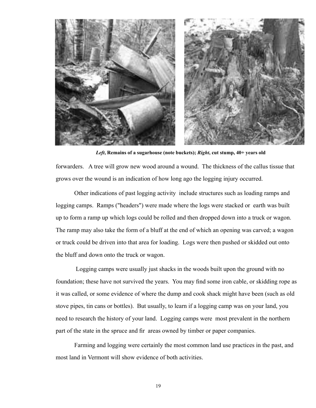

forwarders. A tree will grow new wood around a wound. The thickness of the callus tissue that grows over the wound is an indication of how long ago the logging injury occurred. *Left***, Remains of a sugarhouse (note buckets);** *Right***, cut stump, 40+ years old**

 Other indications of past logging activity include structures such as loading ramps and logging camps. Ramps ("headers") were made where the logs were stacked or earth was built up to form a ramp up which logs could be rolled and then dropped down into a truck or wagon. The ramp may also take the form of a bluff at the end of which an opening was carved; a wagon or truck could be driven into that area for loading. Logs were then pushed or skidded out onto the bluff and down onto the truck or wagon.

 Logging camps were usually just shacks in the woods built upon the ground with no foundation; these have not survived the years. You may find some iron cable, or skidding rope as it was called, or some evidence of where the dump and cook shack might have been (such as old stove pipes, tin cans or bottles). But usually, to learn if a logging camp was on your land, you need to research the history of your land. Logging camps were most prevalent in the northern part of the state in the spruce and fir areas owned by timber or paper companies.

 Farming and logging were certainly the most common land use practices in the past, and most land in Vermont will show evidence of both activities.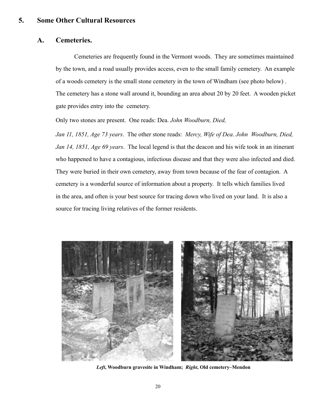#### **5. Some Other Cultural Resources**

#### **A. Cemeteries.**

 Cemeteries are frequently found in the Vermont woods. They are sometimes maintained by the town, and a road usually provides access, even to the small family cemetery. An example of a woods cemetery is the small stone cemetery in the town of Windham (see photo below) . The cemetery has a stone wall around it, bounding an area about 20 by 20 feet. A wooden picket gate provides entry into the cemetery.

Only two stones are present. One reads: Dea. *John Woodburn, Died,* 

*Jan 11, 1851, Age 73 years*. The other stone reads: *Mercy, Wife of Dea*. *John Woodburn, Died, Jan 14, 1851, Age 69 years*. The local legend is that the deacon and his wife took in an itinerant who happened to have a contagious, infectious disease and that they were also infected and died. They were buried in their own cemetery, away from town because of the fear of contagion. A cemetery is a wonderful source of information about a property. It tells which families lived in the area, and often is your best source for tracing down who lived on your land. It is also a source for tracing living relatives of the former residents.



*Left***, Woodburn gravesite in Windham;** *Right***, Old cemetery–Mendon**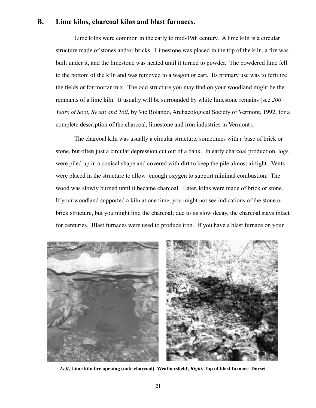#### **B. Lime kilns, charcoal kilns and blast furnaces.**

 Lime kilns were common in the early to mid-19th century. A lime kiln is a circular structure made of stones and/or bricks. Limestone was placed in the top of the kiln, a fire was built under it, and the limestone was heated until it turned to powder. The powdered lime fell to the bottom of the kiln and was removed to a wagon or cart. Its primary use was to fertilize the fields or for mortar mix. The odd structure you may find on your woodland might be the remnants of a lime kiln. It usually will be surrounded by white limestone remains (see *200 Years of Soot, Sweat and Toil*, by Vic Rolando, Archaeological Society of Vermont, 1992, for a complete description of the charcoal, limestone and iron industries in Vermont).

 The charcoal kiln was usually a circular structure, sometimes with a base of brick or stone, but often just a circular depression cut out of a bank. In early charcoal production, logs were piled up in a conical shape and covered with dirt to keep the pile almost airtight. Vents were placed in the structure to allow enough oxygen to support minimal combustion. The wood was slowly burned until it became charcoal. Later, kilns were made of brick or stone. If your woodland supported a kiln at one time, you might not see indications of the stone or brick structure, but you might find the charcoal; due to its slow decay, the charcoal stays intact for centuries. Blast furnaces were used to produce iron. If you have a blast furnace on your



*Left***, Lime kiln fire opening (note charcoal)–Weathersfield;** *Right***, Top of blast furnace–Dorset**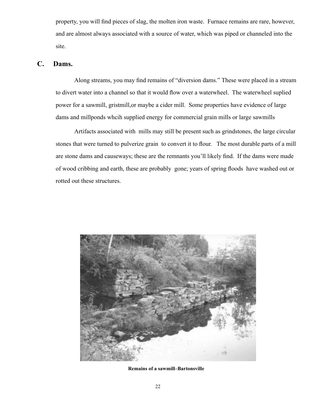property, you will find pieces of slag, the molten iron waste. Furnace remains are rare, however, and are almost always associated with a source of water, which was piped or channeled into the site.

#### **C. Dams.**

 Along streams, you may find remains of "diversion dams." These were placed in a stream to divert water into a channel so that it would flow over a waterwheel. The waterwheel suplied power for a sawmill, gristmill,or maybe a cider mill. Some properties have evidence of large dams and millponds whcih supplied energy for commercial grain mills or large sawmills

 Artifacts associated with mills may still be present such as grindstones, the large circular stones that were turned to pulverize grain to convert it to flour. The most durable parts of a mill are stone dams and causeways; these are the remnants you'll likely find. If the dams were made of wood cribbing and earth, these are probably gone; years of spring floods have washed out or rotted out these structures.



**Remains of a sawmill–Bartonsville**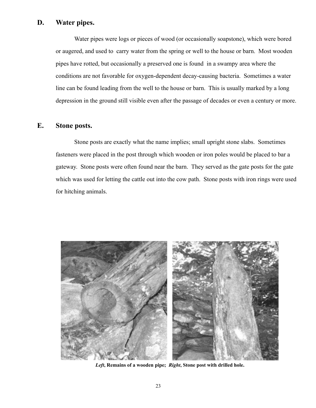#### **D. Water pipes.**

 Water pipes were logs or pieces of wood (or occasionally soapstone), which were bored or augered, and used to carry water from the spring or well to the house or barn. Most wooden pipes have rotted, but occasionally a preserved one is found in a swampy area where the conditions are not favorable for oxygen-dependent decay-causing bacteria. Sometimes a water line can be found leading from the well to the house or barn. This is usually marked by a long depression in the ground still visible even after the passage of decades or even a century or more.

#### **E. Stone posts.**

 Stone posts are exactly what the name implies; small upright stone slabs. Sometimes fasteners were placed in the post through which wooden or iron poles would be placed to bar a gateway. Stone posts were often found near the barn. They served as the gate posts for the gate which was used for letting the cattle out into the cow path. Stone posts with iron rings were used for hitching animals.



*Left***, Remains of a wooden pipe;** *Right***, Stone post with drilled hole.**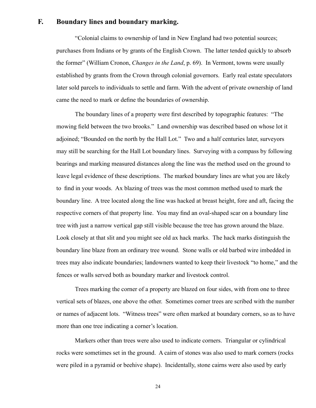#### **F. Boundary lines and boundary marking.**

 "Colonial claims to ownership of land in New England had two potential sources; purchases from Indians or by grants of the English Crown. The latter tended quickly to absorb the former" (William Cronon, *Changes in the Land*, p. 69). In Vermont, towns were usually established by grants from the Crown through colonial governors. Early real estate speculators later sold parcels to individuals to settle and farm. With the advent of private ownership of land came the need to mark or define the boundaries of ownership.

 The boundary lines of a property were first described by topographic features: "The mowing field between the two brooks." Land ownership was described based on whose lot it adjoined; "Bounded on the north by the Hall Lot." Two and a half centuries later, surveyors may still be searching for the Hall Lot boundary lines. Surveying with a compass by following bearings and marking measured distances along the line was the method used on the ground to leave legal evidence of these descriptions. The marked boundary lines are what you are likely to find in your woods. Ax blazing of trees was the most common method used to mark the boundary line. A tree located along the line was hacked at breast height, fore and aft, facing the respective corners of that property line. You may find an oval-shaped scar on a boundary line tree with just a narrow vertical gap still visible because the tree has grown around the blaze. Look closely at that slit and you might see old ax hack marks. The hack marks distinguish the boundary line blaze from an ordinary tree wound. Stone walls or old barbed wire imbedded in trees may also indicate boundaries; landowners wanted to keep their livestock "to home," and the fences or walls served both as boundary marker and livestock control.

 Trees marking the corner of a property are blazed on four sides, with from one to three vertical sets of blazes, one above the other. Sometimes corner trees are scribed with the number or names of adjacent lots. "Witness trees" were often marked at boundary corners, so as to have more than one tree indicating a corner's location.

 Markers other than trees were also used to indicate corners. Triangular or cylindrical rocks were sometimes set in the ground. A cairn of stones was also used to mark corners (rocks were piled in a pyramid or beehive shape). Incidentally, stone cairns were also used by early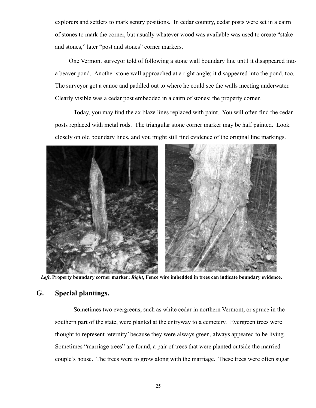explorers and settlers to mark sentry positions. In cedar country, cedar posts were set in a cairn of stones to mark the corner, but usually whatever wood was available was used to create "stake and stones," later "post and stones" corner markers.

 One Vermont surveyor told of following a stone wall boundary line until it disappeared into a beaver pond. Another stone wall approached at a right angle; it disappeared into the pond, too. The surveyor got a canoe and paddled out to where he could see the walls meeting underwater. Clearly visible was a cedar post embedded in a cairn of stones: the property corner.

 Today, you may find the ax blaze lines replaced with paint. You will often find the cedar posts replaced with metal rods. The triangular stone corner marker may be half painted. Look closely on old boundary lines, and you might still find evidence of the original line markings.



*Left***, Property boundary corner marker;** *Right***, Fence wire imbedded in trees can indicate boundary evidence.**

#### **G. Special plantings.**

 Sometimes two evergreens, such as white cedar in northern Vermont, or spruce in the southern part of the state, were planted at the entryway to a cemetery. Evergreen trees were thought to represent 'eternity' because they were always green, always appeared to be living. Sometimes "marriage trees" are found, a pair of trees that were planted outside the married couple's house. The trees were to grow along with the marriage. These trees were often sugar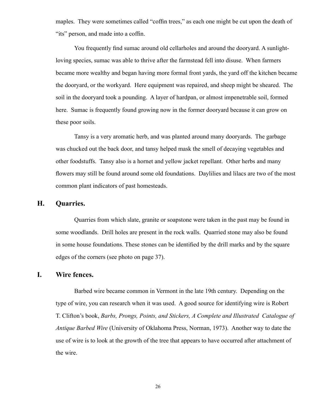maples. They were sometimes called "coffin trees," as each one might be cut upon the death of "its" person, and made into a coffin.

 You frequently find sumac around old cellarholes and around the dooryard. A sunlightloving species, sumac was able to thrive after the farmstead fell into disuse. When farmers became more wealthy and began having more formal front yards, the yard off the kitchen became the dooryard, or the workyard. Here equipment was repaired, and sheep might be sheared. The soil in the dooryard took a pounding. A layer of hardpan, or almost impenetrable soil, formed here. Sumac is frequently found growing now in the former dooryard because it can grow on these poor soils.

 Tansy is a very aromatic herb, and was planted around many dooryards. The garbage was chucked out the back door, and tansy helped mask the smell of decaying vegetables and other foodstuffs. Tansy also is a hornet and yellow jacket repellant. Other herbs and many flowers may still be found around some old foundations. Daylilies and lilacs are two of the most common plant indicators of past homesteads.

#### **H. Quarries.**

 Quarries from which slate, granite or soapstone were taken in the past may be found in some woodlands. Drill holes are present in the rock walls. Quarried stone may also be found in some house foundations. These stones can be identified by the drill marks and by the square edges of the corners (see photo on page 37).

#### **I. Wire fences.**

 Barbed wire became common in Vermont in the late 19th century. Depending on the type of wire, you can research when it was used. A good source for identifying wire is Robert T. Clifton's book, *Barbs, Prongs, Points, and Stickers, A Complete and Illustrated Catalogue of Antique Barbed Wire* (University of Oklahoma Press, Norman, 1973). Another way to date the use of wire is to look at the growth of the tree that appears to have occurred after attachment of the wire.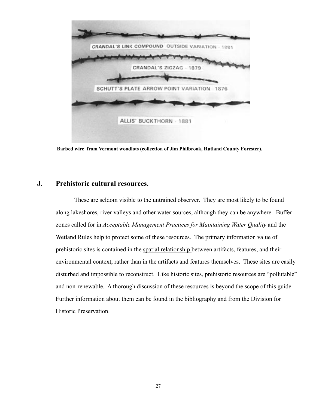

 **Barbed wire from Vermont woodlots (collection of Jim Philbrook, Rutland County Forester).** 

#### **J. Prehistoric cultural resources.**

 These are seldom visible to the untrained observer. They are most likely to be found along lakeshores, river valleys and other water sources, although they can be anywhere. Buffer zones called for in *Acceptable Management Practices for Maintaining Water Quality* and the Wetland Rules help to protect some of these resources. The primary information value of prehistoric sites is contained in the spatial relationship between artifacts, features, and their environmental context, rather than in the artifacts and features themselves. These sites are easily disturbed and impossible to reconstruct. Like historic sites, prehistoric resources are "pollutable" and non-renewable. A thorough discussion of these resources is beyond the scope of this guide. Further information about them can be found in the bibliography and from the Division for Historic Preservation.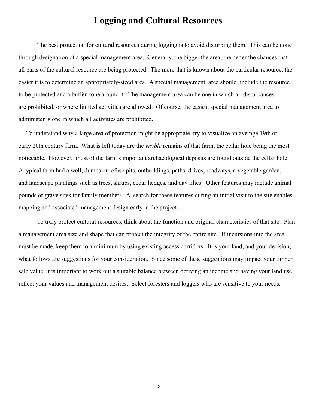### **Logging and Cultural Resources**

 The best protection for cultural resources during logging is to avoid disturbing them. This can be done through designation of a special management area. Generally, the bigger the area, the better the chances that all parts of the cultural resource are being protected. The more that is known about the particular resource, the easier it is to determine an appropriately-sized area. A special management area should include the resource to be protected and a buffer zone around it. The management area can be one in which all disturbances are prohibited, or where limited activities are allowed. Of course, the easiest special management area to administer is one in which all activities are prohibited.

 To understand why a large area of protection might be appropriate, try to visualize an average 19th or early 20th century farm. What is left today are the *visible* remains of that farm, the cellar hole being the most noticeable. However, most of the farm's important archaeological deposits are found outside the cellar hole. A typical farm had a well, dumps or refuse pits, outbuildings, paths, drives, roadways, a vegetable garden, and landscape plantings such as trees, shrubs, cedar hedges, and day lilies. Other features may include animal pounds or grave sites for family members. A search for these features during an initial visit to the site enables mapping and associated management design early in the project.

 To truly protect cultural resources, think about the function and original characteristics of that site. Plan a management area size and shape that can protect the integrity of the entire site. If incursions into the area must be made, keep them to a minimum by using existing access corridors. It is your land, and your decision; what follows are suggestions for your consideration. Since some of these suggestions may impact your timber sale value, it is important to work out a suitable balance between deriving an income and having your land use reflect your values and management desires. Select foresters and loggers who are sensitive to your needs.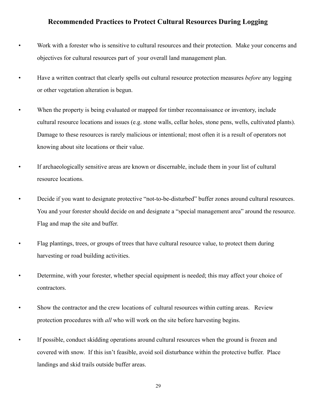#### **Recommended Practices to Protect Cultural Resources During Logging**

• Work with a forester who is sensitive to cultural resources and their protection. Make your concerns and objectives for cultural resources part of your overall land management plan.

• Have a written contract that clearly spells out cultural resource protection measures *before* any logging or other vegetation alteration is begun.

• When the property is being evaluated or mapped for timber reconnaissance or inventory, include cultural resource locations and issues (e.g. stone walls, cellar holes, stone pens, wells, cultivated plants). Damage to these resources is rarely malicious or intentional; most often it is a result of operators not knowing about site locations or their value.

• If archaeologically sensitive areas are known or discernable, include them in your list of cultural resource locations.

• Decide if you want to designate protective "not-to-be-disturbed" buffer zones around cultural resources. You and your forester should decide on and designate a "special management area" around the resource. Flag and map the site and buffer.

• Flag plantings, trees, or groups of trees that have cultural resource value, to protect them during harvesting or road building activities.

- Determine, with your forester, whether special equipment is needed; this may affect your choice of contractors.
- Show the contractor and the crew locations of cultural resources within cutting areas. Review protection procedures with *all* who will work on the site before harvesting begins.
- If possible, conduct skidding operations around cultural resources when the ground is frozen and covered with snow. If this isn't feasible, avoid soil disturbance within the protective buffer. Place landings and skid trails outside buffer areas.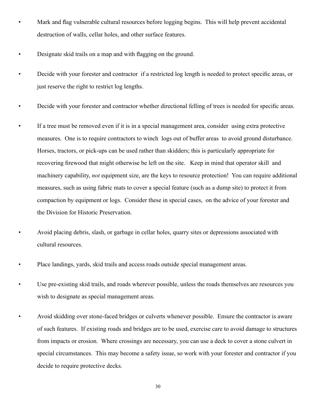- Mark and flag vulnerable cultural resources before logging begins. This will help prevent accidental destruction of walls, cellar holes, and other surface features.
- Designate skid trails on a map and with flagging on the ground.
- Decide with your forester and contractor if a restricted log length is needed to protect specific areas, or just reserve the right to restrict log lengths.
- Decide with your forester and contractor whether directional felling of trees is needed for specific areas.
- If a tree must be removed even if it is in a special management area, consider using extra protective measures. One is to require contractors to winch logs out of buffer areas to avoid ground disturbance. Horses, tractors, or pick-ups can be used rather than skidders; this is particularly appropriate for recovering firewood that might otherwise be left on the site. Keep in mind that operator skill and machinery capability, *not* equipment size, are the keys to resource protection! You can require additional measures, such as using fabric mats to cover a special feature (such as a dump site) to protect it from compaction by equipment or logs. Consider these in special cases, on the advice of your forester and the Division for Historic Preservation.
	- Avoid placing debris, slash, or garbage in cellar holes, quarry sites or depressions associated with cultural resources.
- Place landings, yards, skid trails and access roads outside special management areas.
- Use pre-existing skid trails, and roads wherever possible, unless the roads themselves are resources you wish to designate as special management areas.
- Avoid skidding over stone-faced bridges or culverts whenever possible. Ensure the contractor is aware of such features. If existing roads and bridges are to be used, exercise care to avoid damage to structures from impacts or erosion. Where crossings are necessary, you can use a deck to cover a stone culvert in special circumstances. This may become a safety issue, so work with your forester and contractor if you decide to require protective decks.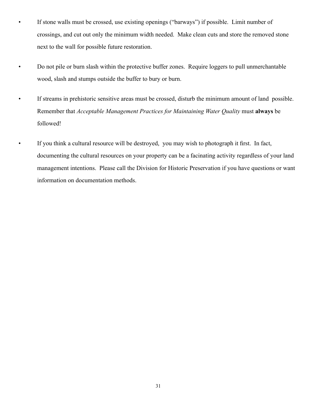- If stone walls must be crossed, use existing openings ("barways") if possible. Limit number of crossings, and cut out only the minimum width needed. Make clean cuts and store the removed stone next to the wall for possible future restoration.
- Do not pile or burn slash within the protective buffer zones. Require loggers to pull unmerchantable wood, slash and stumps outside the buffer to bury or burn.
- If streams in prehistoric sensitive areas must be crossed, disturb the minimum amount of land possible. Remember that *Acceptable Management Practices for Maintaining Water Quality* must **always** be followed!
- If you think a cultural resource will be destroyed, you may wish to photograph it first. In fact, documenting the cultural resources on your property can be a facinating activity regardless of your land management intentions. Please call the Division for Historic Preservation if you have questions or want information on documentation methods.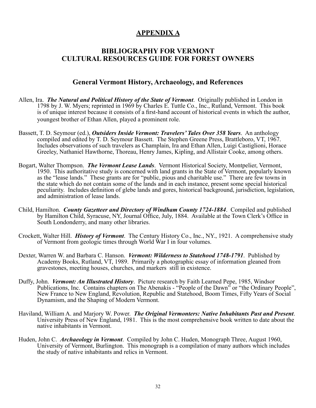#### **APPENDIX A**

#### **BIBLIOGRAPHY FOR VERMONT CULTURAL RESOURCES GUIDE FOR FOREST OWNERS**

#### **General Vermont History, Archaeology, and References**

- Allen, Ira. *The Natural and Political History of the State of Vermont*. Originally published in London in 1798 by J. W. Myers; reprinted in 1969 by Charles E. Tuttle Co., Inc., Rutland, Vermont. This book is of unique interest because it consists of a first-hand account of historical events in which the author, youngest brother of Ethan Allen, played a prominent role.
- Bassett, T. D. Seymour (ed.), *Outsiders Inside Vermont: Travelers' Tales Over 358 Years*. An anthology compiled and edited by T. D. Seymour Bassett. The Stephen Greene Press, Brattleboro, VT, 1967. Includes observations of such travelers as Champlain, Ira and Ethan Allen, Luigi Castiglioni, Horace Greeley, Nathaniel Hawthorne, Thoreau, Henry James, Kipling, and Allistair Cooke, among others.
- Bogart, Walter Thompson. *The Vermont Lease Lands*. Vermont Historical Society, Montpelier, Vermont, 1950. This authoritative study is concerned with land grants in the State of Vermont, popularly known as the "lease lands." These grants are for "public, pious and charitable use." There are few towns in the state which do not contain some of the lands and in each instance, present some special historical peculiarity. Includes definition of glebe lands and gores, historical background, jurisdiction, legislation, and administration of lease lands.
- Child, Hamilton. *County Gazetteer and Directory of Windham County 1724-1884*. Compiled and published by Hamilton Child, Syracuse, NY, Journal Office, July, 1884. Available at the Town Clerk's Office in South Londonderry, and many other libraries.
- Crockett, Walter Hill. *History of Vermont*. The Century History Co., Inc., NY., 1921. A comprehensive study of Vermont from geologic times through World War I in four volumes.
- Dexter, Warren W. and Barbara C. Hanson. *Vermont: Wilderness to Statehood 1748-1791*. Published by Academy Books, Rutland, VT, 1989. Primarily a photographic essay of information gleaned from gravestones, meeting houses, churches, and markers still in existence.
- Duffy, John. *Vermont: An Illustrated History*. Picture research by Faith Learned Pepe, 1985, Windsor Publications, Inc. Contains chapters on The Abenakis - "People of the Dawn" or "the Ordinary People", New France to New England, Revolution, Republic and Statehood, Boom Times, Fifty Years of Social Dynamism, and the Shaping of Modern Vermont.
- Haviland, William A. and Marjory W. Power. *The Original Vermonters: Native Inhabitants Past and Present*. University Press of New England, 1981. This is the most comprehensive book written to date about the native inhabitants in Vermont.
- Huden, John C. *Archaeology in Vermont*. Compiled by John C. Huden, Monograph Three, August 1960, University of Vermont, Burlington. This monograph is a compilation of many authors which includes the study of native inhabitants and relics in Vermont.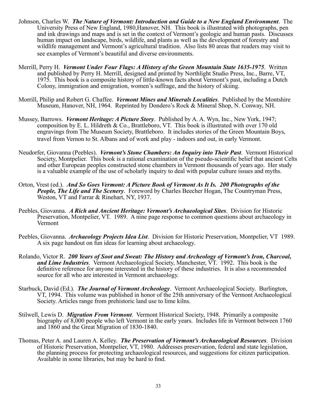- Johnson, Charles W. *The Nature of Vermont: Introduction and Guide to a New England Environment*. The University Press of New England, 1980,Hanover, NH. This book is illustrated with photographs, pen and ink drawings and maps and is set in the context of Vermont's geologic and human pasts. Discusses human impact on landscape, birds, wildlife, and plants as well as the development of forestry and wildlife management and Vermont's agricultural tradition. Also lists 80 areas that readers may visit to see examples of Vermont's beautiful and diverse environments.
- Merrill, Perry H. *Vermont Under Four Flags: A History of the Green Mountain State 1635-1975*. Written and published by Perry H. Merrill, designed and printed by Northlight Studio Press, Inc., Barre, VT, 1975. This book is a composite history of little-known facts about Vermont's past, including a Dutch Colony, immigration and emigration, women's suffrage, and the history of skiing.
- Morrill, Philip and Robert G. Chaffee. *Vermont Mines and Minerals Localities*. Published by the Montshire Museum, Hanover, NH, 1964. Reprinted by Dondero's Rock & Mineral Shop, N. Conway, NH.
- Mussey, Barrows. *Vermont Heritage: A Picture Story*. Published by A. A. Wyn, Inc., New York, 1947; composition by E. L. Hildreth & Co., Brattleboro, VT. This book is illustrated with over 170 old engravings from The Museum Society, Brattleboro. It includes stories of the Green Mountain Boys, travel from Vernon to St. Albans and of work and play - indoors and out, in early Vermont.
- Neudorfer, Giovanna (Peebles). *Vermont's Stone Chambers: An Inquiry into Their Past*. Vermont Historical Society, Montpelier. This book is a rational examination of the pseudo-scientific belief that ancient Celts and other European peoples constructed stone chambers in Vermont thousands of years ago. Her study is a valuable example of the use of scholarly inquiry to deal with popular culture issues and myths.
- Orton, Vrest (ed.). *And So Goes Vermont: A Picture Book of Vermont As It Is. 200 Photographs of the People, The Life and The Scenery*. Foreword by Charles Beecher Hogan, The Countryman Press, Weston, VT and Farrar & Rinehart, NY, 1937.
- Peebles, Giovanna. *A Rich and Ancient Heritage: Vermont's Archaeological Sites*. Division for Historic Preservation, Montpelier, VT. 1989. A nine page response to common questions about archaeology in Vermont
- Peebles, Giovanna. *Archaeology Projects Idea List*. Division for Historic Preservation, Montpelier, VT 1989. A six page handout on fun ideas for learning about archaeology.
- Rolando, Victor R. *200 Years of Soot and Sweat: The History and Archeology of Vermont's Iron, Charcoal, and Lime Industries*. Vermont Archaeological Society, Manchester, VT. 1992. This book is the definitive reference for anyone interested in the history of these industries. It is also a recommended source for all who are interested in Vermont archaeology.
- Starbuck, David (Ed.). *The Journal of Vermont Archeology*. Vermont Archaeological Society. Burlington, VT, 1994. This volume was published in honor of the 25th anniversary of the Vermont Archaeological Society. Articles range from prehistoric land use to lime kilns.
- Stilwell, Lewis D. *Migration From Vermont*. Vermont Historical Society, 1948. Primarily a composite biography of 8,000 people who left Vermont in the early years. Includes life in Vermont between 1760 and 1860 and the Great Migration of 1830-1840.
- Thomas, Peter A. and Lauren A. Kelley. *The Preservation of Vermont's Archaeological Resources*. Division of Historic Preservation, Montpelier, VT, 1980. Addresses preservation, federal and state legislation, the planning process for protecting archaeological resources, and suggestions for citizen participation. Available in some libraries, but may be hard to find.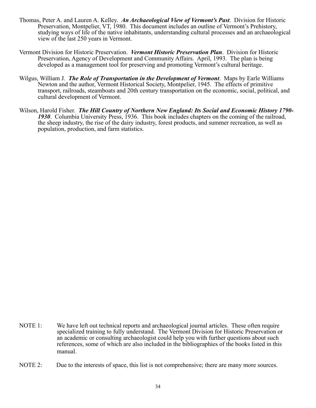- Thomas, Peter A. and Lauren A. Kelley. *An Archaeological View of Vermont's Past*. Division for Historic Preservation, Montpelier, VT, 1980. This document includes an outline of Vermont's Prehistory, studying ways of life of the native inhabitants, understanding cultural processes and an archaeological view of the last 250 years in Vermont.
- Vermont Division for Historic Preservation. *Vermont Historic Preservation Plan*. Division for Historic Preservation, Agency of Development and Community Affairs. April, 1993. The plan is being developed as a management tool for preserving and promoting Vermont's cultural heritage.
- Wilgus, William J. *The Role of Transportation in the Development of Vermont*. Maps by Earle Williams Newton and the author, Vermont Historical Society, Montpelier, 1945. The effects of primitive transport, railroads, steamboats and 20th century transportation on the economic, social, political, and cultural development of Vermont.
- Wilson, Harold Fisher. *The Hill Country of Northern New England: Its Social and Economic History 1790- 1930*. Columbia University Press, 1936. This book includes chapters on the coming of the railroad, the sheep industry, the rise of the dairy industry, forest products, and summer recreation, as well as population, production, and farm statistics.

- NOTE 1: We have left out technical reports and archaeological journal articles. These often require specialized training to fully understand. The Vermont Division for Historic Preservation or an academic or consulting archaeologist could help you with further questions about such references, some of which are also included in the bibliographies of the books listed in this manual.
- NOTE 2: Due to the interests of space, this list is not comprehensive; there are many more sources.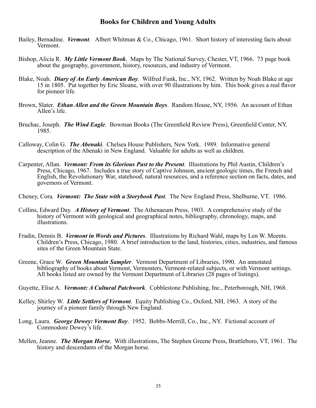#### **Books for Children and Young Adults**

- Bailey, Bernadine. *Vermont*. Albert Whitman & Co., Chicago, 1961. Short history of interesting facts about Vermont.
- Bishop, Alicia R. *My Little Vermont Book*. Maps by The National Survey, Chester, VT, 1966. 73 page book about the geography, government, history, resources, and industry of Vermont.
- Blake, Noah. *Diary of An Early American Boy*. Wilfred Funk, Inc., NY, 1962. Written by Noah Blake at age 15 in 1805. Put together by Eric Sloane, with over 90 illustrations by him. This book gives a real flavor for pioneer life.
- Brown, Slater. *Ethan Allen and the Green Mountain Boys*. Random House, NY, 1956. An account of Ethan Allen's life.
- Bruchac, Joseph. *The Wind Eagle*. Bowman Books (The Greenfield Review Press), Greenfield Center, NY. 1985.
- Calloway, Colin G. *The Abenaki*. Chelsea House Publishers, New York. 1989. Informative general description of the Abenaki in New England. Valuable for adults as well as children.
- Carpenter, Allan. *Vermont: From its Glorious Past to the Present*. Illustrations by Phil Austin, Children's Press, Chicago, 1967. Includes a true story of Captive Johnson, ancient geologic times, the French and English, the Revolutionary War, statehood, natural resources, and a reference section on facts, dates, and governors of Vermont.
- Cheney, Cora. *Vermont: The State with a Storybook Past*. The New England Press, Shelburne, VT. 1986.
- Collins, Edward Day. *A History of Vermont*. The Athenaeum Press, 1903. A comprehensive study of the history of Vermont with geological and geographical notes, bibliography, chronology, maps, and illustrations.
- Fradin, Dennis B. *Vermont in Words and Pictures*. Illustrations by Richard Wahl, maps by Len W. Meents. Children's Press, Chicago, 1980. A brief introduction to the land, histories, cities, industries, and famous sites of the Green Mountain State.
- Greene, Grace W. *Green Mountain Sampler*. Vermont Department of Libraries, 1990. An annotated bibliography of books about Vermont, Vermonters, Vermont-related subjects, or with Vermont settings. All books listed are owned by the Vermont Department of Libraries (28 pages of listings).
- Guyette, Elise A. *Vermont: A Cultural Patchwork*. Cobblestone Publishing, Inc., Peterborough, NH, 1968.
- Kelley, Shirley W. *Little Settlers of Vermont*. Equity Publishing Co., Oxford, NH, 1963. A story of the journey of a pioneer family through New England.
- Long, Laura. *George Dewey: Vermont Boy*. 1952. Bobbs-Merrill, Co., Inc., NY. Fictional account of Commodore Dewey's life.
- Mellen, Jeanne. *The Morgan Horse*. With illustrations, The Stephen Greene Press, Brattleboro, VT, 1961. The history and descendants of the Morgan horse.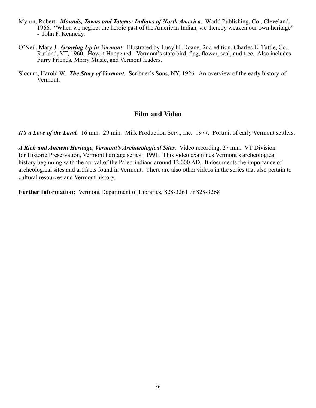- Myron, Robert. *Mounds, Towns and Totems: Indians of North America*. World Publishing, Co., Cleveland, 1966. "When we neglect the heroic past of the American Indian, we thereby weaken our own heritage" - John F. Kennedy.
- O'Neil, Mary J. *Growing Up in Vermont*. Illustrated by Lucy H. Doane; 2nd edition, Charles E. Tuttle, Co., Rutland, VT, 1960. How it Happened - Vermont's state bird, flag, flower, seal, and tree. Also includes Furry Friends, Merry Music, and Vermont leaders.
- Slocum, Harold W. *The Story of Vermont*. Scribner's Sons, NY, 1926. An overview of the early history of Vermont.

#### **Film and Video**

*It's a Love of the Land.* 16 mm. 29 min. Milk Production Serv., Inc. 1977. Portrait of early Vermont settlers.

*A Rich and Ancient Heritage, Vermont's Archaeological Sites.* Video recording, 27 min. VT Division for Historic Preservation, Vermont heritage series. 1991. This video examines Vermont's archeological history beginning with the arrival of the Paleo-indians around 12,000 AD. It documents the importance of archeological sites and artifacts found in Vermont. There are also other videos in the series that also pertain to cultural resources and Vermont history.

**Further Information:** Vermont Department of Libraries, 828-3261 or 828-3268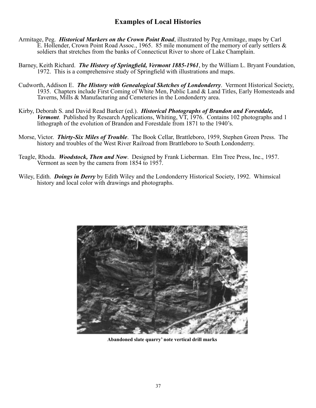#### **Examples of Local Histories**

- Armitage, Peg. *Historical Markers on the Crown Point Road*, illustrated by Peg Armitage, maps by Carl E. Hollender, Crown Point Road Assoc., 1965. 85 mile monument of the memory of early settlers & soldiers that stretches from the banks of Connecticut River to shore of Lake Champlain.
- Barney, Keith Richard. *The History of Springfield, Vermont 1885-1961*, by the William L. Bryant Foundation, 1972. This is a comprehensive study of Springfield with illustrations and maps.
- Cudworth, Addison E. *The History with Genealogical Sketches of Londonderry*. Vermont Historical Society, 1935. Chapters include First Coming of White Men, Public Land & Land Titles, Early Homesteads and Taverns, Mills & Manufacturing and Cemeteries in the Londonderry area.
- Kirby, Deborah S. and David Read Barker (ed.). *Historical Photographs of Brandon and Forestdale, Vermont*. Published by Research Applications, Whiting, VT, 1976. Contains 102 photographs and 1 lithograph of the evolution of Brandon and Forestdale from 1871 to the 1940's.
- Morse, Victor. *Thirty-Six Miles of Trouble*. The Book Cellar, Brattleboro, 1959, Stephen Green Press. The history and troubles of the West River Railroad from Brattleboro to South Londonderry.
- Teagle, Rhoda. *Woodstock, Then and Now*. Designed by Frank Lieberman. Elm Tree Press, Inc., 1957. Vermont as seen by the camera from 1854 to 1957.
- Wiley, Edith. *Doings in Derry* by Edith Wiley and the Londonderry Historical Society, 1992. Whimsical history and local color with drawings and photographs.



**Abandoned slate quarry' note vertical drill marks**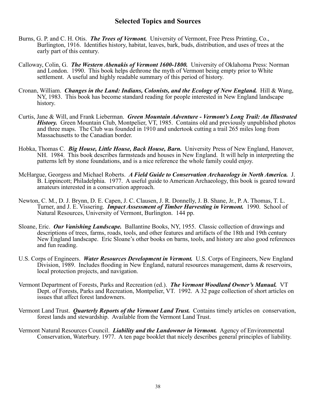#### **Selected Topics and Sources**

- Burns, G. P. and C. H. Otis. *The Trees of Vermont.* University of Vermont, Free Press Printing, Co., Burlington, 1916. Identifies history, habitat, leaves, bark, buds, distribution, and uses of trees at the early part of this century.
- Calloway, Colin, G. *The Western Abenakis of Vermont 1600-1800.* University of Oklahoma Press: Norman and London. 1990. This book helps dethrone the myth of Vermont being empty prior to White settlement. A useful and highly readable summary of this period of history.
- Cronan, William. *Changes in the Land: Indians, Colonists, and the Ecology of New England.* Hill & Wang, NY, 1983. This book has become standard reading for people interested in New England landscape history.
- Curtis, Jane & Will, and Frank Lieberman. *Green Mountain Adventure Vermont's Long Trail: An Illustrated History.* Green Mountain Club, Montpelier, VT, 1985. Contains old and previously unpublished photos and three maps. The Club was founded in 1910 and undertook cutting a trail 265 miles long from Massachusetts to the Canadian border.
- Hobka, Thomas C. *Big House, Little House, Back House, Barn.* University Press of New England, Hanover, NH. 1984. This book describes farmsteads and houses in New England. It will help in interpreting the patterns left by stone foundations, and is a nice reference the whole family could enjoy.
- McHargue, Georgess and Michael Roberts. *A Field Guide to Conservation Archaeology in North America.* J. B. Lippincott; Philadelphia. 1977. A useful guide to American Archaeology, this book is geared toward amateurs interested in a conservation approach.
- Newton, C. M., D. J. Brynn, D. E. Capen, J. C. Clausen, J. R. Donnelly, J. B. Shane, Jr., P. A. Thomas, T. L. Turner, and J. E. Vissering. *Impact Assessment of Timber Harvesting in Vermont.* 1990. School of Natural Resources, University of Vermont, Burlington. 144 pp.
- Sloane, Eric. *Our Vanishing Landscape.* Ballantine Books, NY, 1955. Classic collection of drawings and descriptions of trees, farms, roads, tools, and other features and artifacts of the 18th and 19th century New England landscape. Eric Sloane's other books on barns, tools, and history are also good references and fun reading.
- U.S. Corps of Engineers. *Water Resources Development in Vermont.* U.S. Corps of Engineers, New England Division, 1989. Includes flooding in New England, natural resources management, dams & reservoirs, local protection projects, and navigation.
- Vermont Department of Forests, Parks and Recreation (ed.). *The Vermont Woodland Owner's Manual.* VT Dept. of Forests, Parks and Recreation, Montpelier, VT. 1992. A 32 page collection of short articles on issues that affect forest landowners.
- Vermont Land Trust. *Quarterly Reports of the Vermont Land Trust.* Contains timely articles on conservation, forest lands and stewardship. Available from the Vermont Land Trust.
- Vermont Natural Resources Council. *Liability and the Landowner in Vermont.* Agency of Environmental Conservation, Waterbury. 1977. A ten page booklet that nicely describes general principles of liability.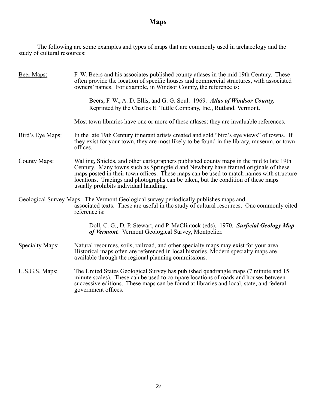### **Maps**

 The following are some examples and types of maps that are commonly used in archaeology and the study of cultural resources:

| Beer Maps:             | F. W. Beers and his associates published county at asses in the mid 19th Century. These<br>often provide the location of specific houses and commercial structures, with associated<br>owners' names. For example, in Windsor County, the reference is:                                                                                                                                                 |
|------------------------|---------------------------------------------------------------------------------------------------------------------------------------------------------------------------------------------------------------------------------------------------------------------------------------------------------------------------------------------------------------------------------------------------------|
|                        | Beers, F. W., A. D. Ellis, and G. G. Soul. 1969. Atlas of Windsor County,<br>Reprinted by the Charles E. Tuttle Company, Inc., Rutland, Vermont.                                                                                                                                                                                                                                                        |
|                        | Most town libraries have one or more of these atlases; they are invaluable references.                                                                                                                                                                                                                                                                                                                  |
| Bird's Eye Maps:       | In the late 19th Century itinerant artists created and sold "bird's eye views" of towns. If<br>they exist for your town, they are most likely to be found in the library, museum, or town<br>offices.                                                                                                                                                                                                   |
| <b>County Maps:</b>    | Walling, Shields, and other cartographers published county maps in the mid to late 19th<br>Century. Many towns such as Springfield and Newbury have framed originals of these<br>maps posted in their town offices. These maps can be used to match names with structure<br>locations. Tracings and photographs can be taken, but the condition of these maps<br>usually prohibits individual handling. |
|                        | Geological Survey Maps: The Vermont Geological survey periodically publishes maps and<br>associated texts. These are useful in the study of cultural resources. One commonly cited<br>reference is:                                                                                                                                                                                                     |
|                        | Doll, C. G., D. P. Stewart, and P. MaClintock (eds). 1970. Surficial Geology Map<br>of Vermont. Vermont Geological Survey, Montpelier.                                                                                                                                                                                                                                                                  |
| <b>Specialty Maps:</b> | Natural resources, soils, railroad, and other specialty maps may exist for your area.<br>Historical maps often are referenced in local histories. Modern specialty maps are<br>available through the regional planning commissions.                                                                                                                                                                     |
| U.S.G.S. Maps:         | The United States Geological Survey has published quadrangle maps (7 minute and 15<br>minute scales). These can be used to compare locations of roads and houses between<br>successive editions. These maps can be found at libraries and local, state, and federal<br>government offices.                                                                                                              |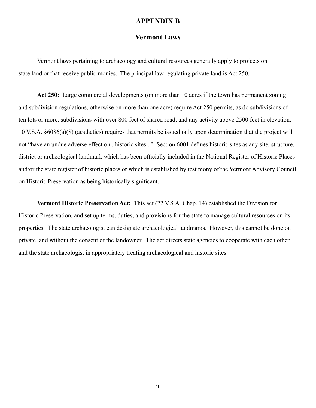#### **APPENDIX B**

#### **Vermont Laws**

 Vermont laws pertaining to archaeology and cultural resources generally apply to projects on state land or that receive public monies. The principal law regulating private land is Act 250.

**Act 250:** Large commercial developments (on more than 10 acres if the town has permanent zoning and subdivision regulations, otherwise on more than one acre) require Act 250 permits, as do subdivisions of ten lots or more, subdivisions with over 800 feet of shared road, and any activity above 2500 feet in elevation. 10 V.S.A. §6086(a)(8) (aesthetics) requires that permits be issued only upon determination that the project will not "have an undue adverse effect on...historic sites..." Section 6001 defines historic sites as any site, structure, district or archeological landmark which has been officially included in the National Register of Historic Places and/or the state register of historic places or which is established by testimony of the Vermont Advisory Council on Historic Preservation as being historically significant.

**Vermont Historic Preservation Act:** This act (22 V.S.A. Chap. 14) established the Division for Historic Preservation, and set up terms, duties, and provisions for the state to manage cultural resources on its properties. The state archaeologist can designate archaeological landmarks. However, this cannot be done on private land without the consent of the landowner. The act directs state agencies to cooperate with each other and the state archaeologist in appropriately treating archaeological and historic sites.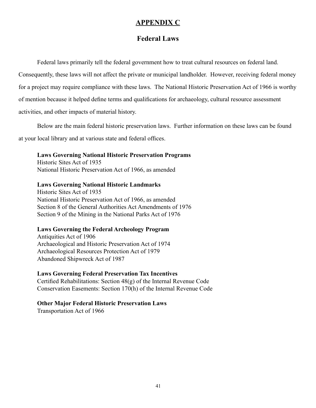#### **APPENDIX C**

#### **Federal Laws**

 Federal laws primarily tell the federal government how to treat cultural resources on federal land. Consequently, these laws will not affect the private or municipal landholder. However, receiving federal money

for a project may require compliance with these laws. The National Historic Preservation Act of 1966 is worthy of mention because it helped define terms and qualifications for archaeology, cultural resource assessment

activities, and other impacts of material history.

Below are the main federal historic preservation laws. Further information on these laws can be found

at your local library and at various state and federal offices.

 **Laws Governing National Historic Preservation Programs**

 Historic Sites Act of 1935 National Historic Preservation Act of 1966, as amended

 **Laws Governing National Historic Landmarks**

 Historic Sites Act of 1935 National Historic Preservation Act of 1966, as amended Section 8 of the General Authorities Act Amendments of 1976 Section 9 of the Mining in the National Parks Act of 1976

#### **Laws Governing the Federal Archeology Program**

 Antiquities Act of 1906 Archaeological and Historic Preservation Act of 1974 Archaeological Resources Protection Act of 1979 Abandoned Shipwreck Act of 1987

#### **Laws Governing Federal Preservation Tax Incentives**

 Certified Rehabilitations: Section 48(g) of the Internal Revenue Code Conservation Easements: Section 170(h) of the Internal Revenue Code

#### **Other Major Federal Historic Preservation Laws**

Transportation Act of 1966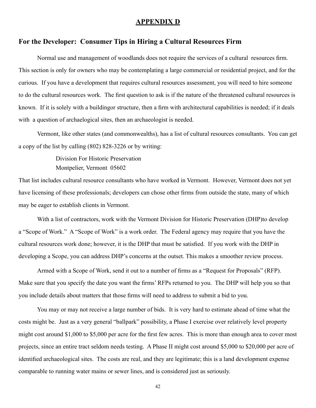#### **APPENDIX D**

#### **For the Developer: Consumer Tips in Hiring a Cultural Resources Firm**

 Normal use and management of woodlands does not require the services of a cultural resources firm. This section is only for owners who may be contemplating a large commercial or residential project, and for the curious. If you have a development that requires cultural resources assessment, you will need to hire someone to do the cultural resources work. The first question to ask is if the nature of the threatened cultural resources is known. If it is solely with a buildingor structure, then a firm with architectural capabilities is needed; if it deals with a question of archaelogical sites, then an archaeologist is needed.

 Vermont, like other states (and commonwealths), has a list of cultural resources consultants. You can get a copy of the list by calling (802) 828-3226 or by writing:

> Division For Historic Preservation Montpelier, Vermont 05602

That list includes cultural resource consultants who have worked in Vermont. However, Vermont does not yet have licensing of these professionals; developers can chose other firms from outside the state, many of which may be eager to establish clients in Vermont.

 With a list of contractors, work with the Vermont Division for Historic Preservation (DHP)to develop a "Scope of Work." A "Scope of Work" is a work order. The Federal agency may require that you have the cultural resources work done; however, it is the DHP that must be satisfied. If you work with the DHP in developing a Scope, you can address DHP's concerns at the outset. This makes a smoother review process.

 Armed with a Scope of Work, send it out to a number of firms as a "Request for Proposals" (RFP). Make sure that you specify the date you want the firms' RFPs returned to you. The DHP will help you so that you include details about matters that those firms will need to address to submit a bid to you.

 You may or may not receive a large number of bids. It is very hard to estimate ahead of time what the costs might be. Just as a very general "ballpark" possibility, a Phase I exercise over relatively level property might cost around \$1,000 to \$5,000 per acre for the first few acres. This is more than enough area to cover most projects, since an entire tract seldom needs testing. A Phase II might cost around \$5,000 to \$20,000 per acre of identified archaeological sites. The costs are real, and they are legitimate; this is a land development expense comparable to running water mains or sewer lines, and is considered just as seriously.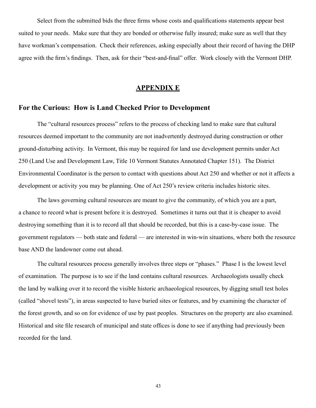Select from the submitted bids the three firms whose costs and qualifications statements appear best suited to your needs. Make sure that they are bonded or otherwise fully insured; make sure as well that they have workman's compensation. Check their references, asking especially about their record of having the DHP agree with the firm's findings. Then, ask for their "best-and-final" offer. Work closely with the Vermont DHP.

#### **APPENDIX E**

#### **For the Curious: How is Land Checked Prior to Development**

 The "cultural resources process" refers to the process of checking land to make sure that cultural resources deemed important to the community are not inadvertently destroyed during construction or other ground-disturbing activity. In Vermont, this may be required for land use development permits under Act 250 (Land Use and Development Law, Title 10 Vermont Statutes Annotated Chapter 151). The District Environmental Coordinator is the person to contact with questions about Act 250 and whether or not it affects a development or activity you may be planning. One of Act 250's review criteria includes historic sites.

 The laws governing cultural resources are meant to give the community, of which you are a part, a chance to record what is present before it is destroyed. Sometimes it turns out that it is cheaper to avoid destroying something than it is to record all that should be recorded, but this is a case-by-case issue. The government regulators — both state and federal — are interested in win-win situations, where both the resource base AND the landowner come out ahead.

 The cultural resources process generally involves three steps or "phases." Phase I is the lowest level of examination. The purpose is to see if the land contains cultural resources. Archaeologists usually check the land by walking over it to record the visible historic archaeological resources, by digging small test holes (called "shovel tests"), in areas suspected to have buried sites or features, and by examining the character of the forest growth, and so on for evidence of use by past peoples. Structures on the property are also examined. Historical and site file research of municipal and state offices is done to see if anything had previously been recorded for the land.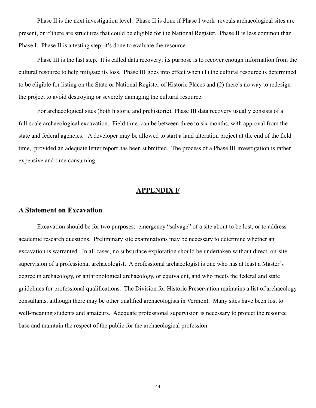Phase II is the next investigation level. Phase II is done if Phase I work reveals archaeological sites are present, or if there are structures that could be eligible for the National Register. Phase II is less common than Phase I. Phase II is a testing step; it's done to evaluate the resource.

 Phase III is the last step. It is called data recovery; its purpose is to recover enough information from the cultural resource to help mitigate its loss. Phase III goes into effect when (1) the cultural resource is determined to be eligible for listing on the State or National Register of Historic Places and (2) there's no way to redesign the project to avoid destroying or severely damaging the cultural resource.

 For archaeological sites (both historic and prehistoric), Phase III data recovery usually consists of a full-scale archaeological excavation. Field time can be between three to six months, with approval from the state and federal agencies. A developer may be allowed to start a land alteration project at the end of the field time, provided an adequate letter report has been submitted. The process of a Phase III investigation is rather expensive and time consuming.

#### **APPENDIX F**

#### **A Statement on Excavation**

 Excavation should be for two purposes; emergency "salvage" of a site about to be lost, or to address academic research questions. Preliminary site examinations may be necessary to determine whether an excavation is warranted. In all cases, no subsurface exploration should be undertaken without direct, on-site supervision of a professional archaeologist. A professional archaeologist is one who has at least a Master's degree in archaeology, or anthropological archaeology, or equivalent, and who meets the federal and state guidelines for professional qualifications. The Division for Historic Preservation maintains a list of archaeology consultants, although there may be other qualified archaeologists in Vermont. Many sites have been lost to well-meaning students and amateurs. Adequate professional supervision is necessary to protect the resource base and maintain the respect of the public for the archaeological profession.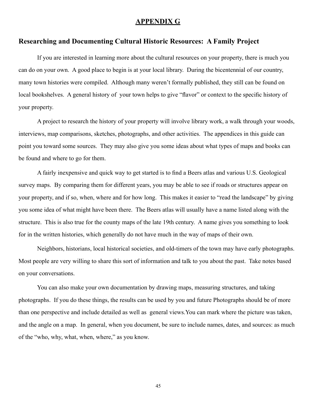#### **APPENDIX G**

#### **Researching and Documenting Cultural Historic Resources: A Family Project**

 If you are interested in learning more about the cultural resources on your property, there is much you can do on your own. A good place to begin is at your local library. During the bicentennial of our country, many town histories were compiled. Although many weren't formally published, they still can be found on local bookshelves. A general history of your town helps to give "flavor" or context to the specific history of your property.

 A project to research the history of your property will involve library work, a walk through your woods, interviews, map comparisons, sketches, photographs, and other activities. The appendices in this guide can point you toward some sources. They may also give you some ideas about what types of maps and books can be found and where to go for them.

 A fairly inexpensive and quick way to get started is to find a Beers atlas and various U.S. Geological survey maps. By comparing them for different years, you may be able to see if roads or structures appear on your property, and if so, when, where and for how long. This makes it easier to "read the landscape" by giving you some idea of what might have been there. The Beers atlas will usually have a name listed along with the structure. This is also true for the county maps of the late 19th century. A name gives you something to look for in the written histories, which generally do not have much in the way of maps of their own.

 Neighbors, historians, local historical societies, and old-timers of the town may have early photographs. Most people are very willing to share this sort of information and talk to you about the past. Take notes based on your conversations.

 You can also make your own documentation by drawing maps, measuring structures, and taking photographs. If you do these things, the results can be used by you and future Photographs should be of more than one perspective and include detailed as well as general views.You can mark where the picture was taken, and the angle on a map. In general, when you document, be sure to include names, dates, and sources: as much of the "who, why, what, when, where," as you know.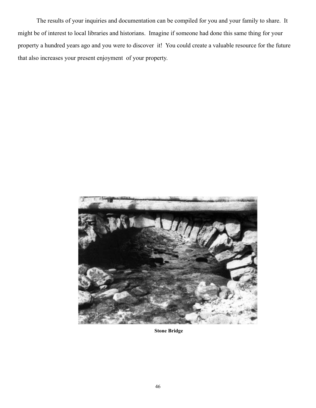The results of your inquiries and documentation can be compiled for you and your family to share. It might be of interest to local libraries and historians. Imagine if someone had done this same thing for your property a hundred years ago and you were to discover it! You could create a valuable resource for the future that also increases your present enjoyment of your property.



**Stone Bridge**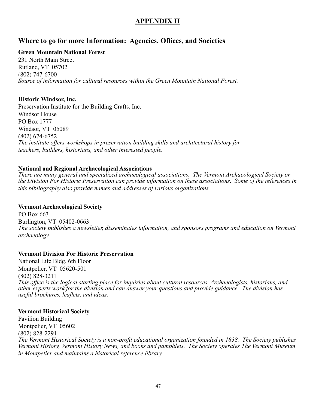### **APPENDIX H**

#### **Where to go for more Information: Agencies, Offices, and Societies**

#### **Green Mountain National Forest**

231 North Main Street Rutland, VT 05702 (802) 747-6700 *Source of information for cultural resources within the Green Mountain National Forest.*

#### **Historic Windsor, Inc.**

Preservation Institute for the Building Crafts, Inc. Windsor House PO Box 1777 Windsor, VT 05089 (802) 674-6752 *The institute offers workshops in preservation building skills and architectural history for teachers, builders, historians, and other interested people.*

#### **National and Regional Archaeological Associations**

*There are many general and specialized archaeological associations. The Vermont Archaeological Society or the Division For Historic Preservation can provide information on these associations. Some of the references in this bibliography also provide names and addresses of various organizations.*

#### **Vermont Archaeological Society**

PO Box 663 Burlington, VT 05402-0663 *The society publishes a newsletter, disseminates information, and sponsors programs and education on Vermont archaeology.*

#### **Vermont Division For Historic Preservation**

National Life Bldg. 6th Floor Montpelier, VT 05620-501 (802) 828-3211 *This office is the logical starting place for inquiries about cultural resources. Archaeologists, historians, and other experts work for the division and can answer your questions and provide guidance. The division has useful brochures, leaflets, and ideas.*

#### **Vermont Historical Society**

Pavilion Building Montpelier, VT 05602 (802) 828-2291 *The Vermont Historical Society is a non-profit educational organization founded in 1838. The Society publishes Vermont History, Vermont History News, and books and pamphlets. The Society operates The Vermont Museum in Montpelier and maintains a historical reference library.*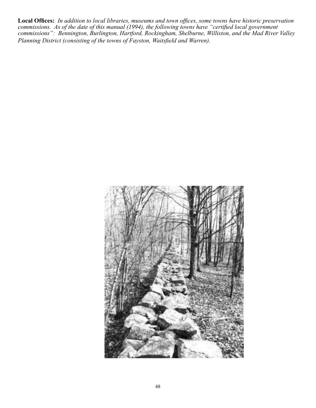**Local Offices:** *In addition to local libraries, museums and town offices, some towns have historic preservation commissions. As of the date of this manual (1994), the following towns have "certified local government commissions": Bennington, Burlington, Hartford, Rockingham, Shelburne, Williston, and the Mad River Valley Planning District (consisting of the towns of Fayston, Waitsfield and Warren).*